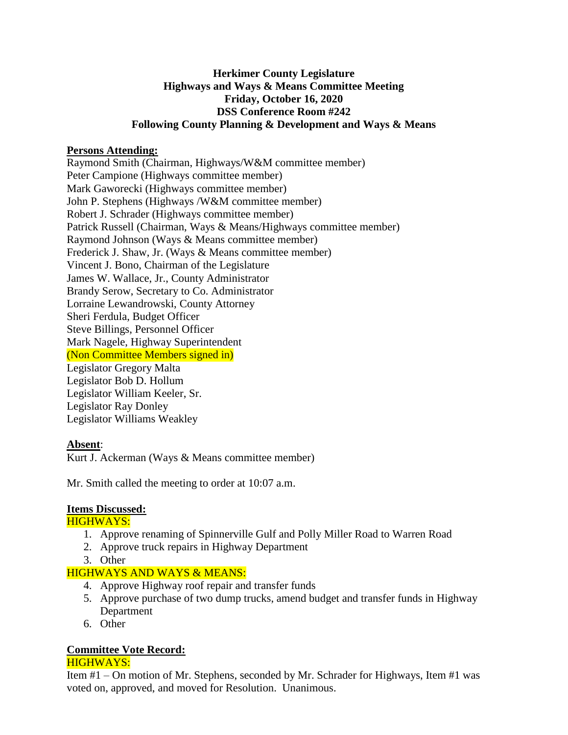# **Herkimer County Legislature Highways and Ways & Means Committee Meeting Friday, October 16, 2020 DSS Conference Room #242 Following County Planning & Development and Ways & Means**

## **Persons Attending:**

Raymond Smith (Chairman, Highways/W&M committee member) Peter Campione (Highways committee member) Mark Gaworecki (Highways committee member) John P. Stephens (Highways /W&M committee member) Robert J. Schrader (Highways committee member) Patrick Russell (Chairman, Ways & Means/Highways committee member) Raymond Johnson (Ways & Means committee member) Frederick J. Shaw, Jr. (Ways & Means committee member) Vincent J. Bono, Chairman of the Legislature James W. Wallace, Jr., County Administrator Brandy Serow, Secretary to Co. Administrator Lorraine Lewandrowski, County Attorney Sheri Ferdula, Budget Officer Steve Billings, Personnel Officer Mark Nagele, Highway Superintendent (Non Committee Members signed in) Legislator Gregory Malta Legislator Bob D. Hollum Legislator William Keeler, Sr. Legislator Ray Donley Legislator Williams Weakley

# **Absent**:

Kurt J. Ackerman (Ways & Means committee member)

Mr. Smith called the meeting to order at 10:07 a.m.

#### **Items Discussed:**

#### HIGHWAYS:

- 1. Approve renaming of Spinnerville Gulf and Polly Miller Road to Warren Road
- 2. Approve truck repairs in Highway Department
- 3. Other

# HIGHWAYS AND WAYS & MEANS:

- 4. Approve Highway roof repair and transfer funds
- 5. Approve purchase of two dump trucks, amend budget and transfer funds in Highway Department
- 6. Other

# **Committee Vote Record:**

# HIGHWAYS:

Item #1 – On motion of Mr. Stephens, seconded by Mr. Schrader for Highways, Item #1 was voted on, approved, and moved for Resolution. Unanimous.